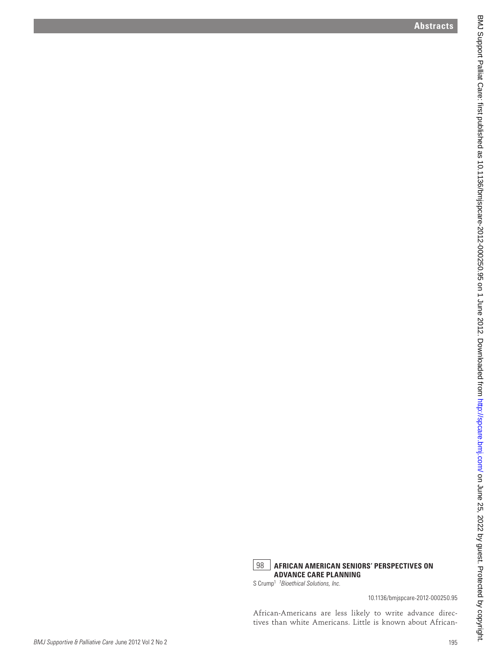

S Crump1 *<sup>1</sup> Bioethical Solutions, Inc.*

10.1136/bmjspcare-2012-000250.95

African-Americans are less likely to write advance directives than white Americans. Little is known about African-